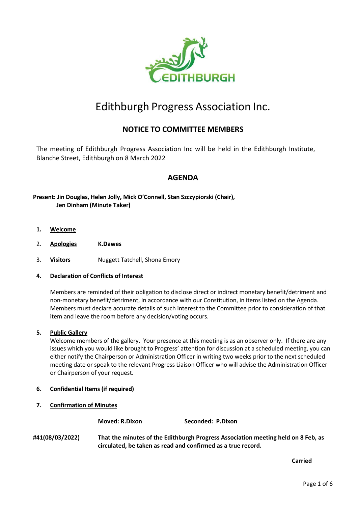

# Edithburgh Progress Association Inc.

# **NOTICE TO COMMITTEE MEMBERS**

The meeting of Edithburgh Progress Association Inc will be held in the Edithburgh Institute, Blanche Street, Edithburgh on 8 March 2022

# **AGENDA**

### **Present: Jin Douglas, Helen Jolly, Mick O'Connell, Stan Szczypiorski (Chair), Jen Dinham (Minute Taker)**

- **1. Welcome**
- 2. **Apologies K.Dawes**
- 3. **Visitors** Nuggett Tatchell, Shona Emory

#### **4. Declaration of Conflicts of Interest**

Members are reminded of their obligation to disclose direct or indirect monetary benefit/detriment and non-monetary benefit/detriment, in accordance with our Constitution, in items listed on the Agenda. Members must declare accurate details of such interest to the Committee prior to consideration of that item and leave the room before any decision/voting occurs.

#### **5. Public Gallery**

Welcome members of the gallery. Your presence at this meeting is as an observer only. If there are any issues which you would like brought to Progress' attention for discussion at a scheduled meeting, you can either notify the Chairperson or Administration Officer in writing two weeks prior to the next scheduled meeting date or speak to the relevant Progress Liaison Officer who will advise the Administration Officer or Chairperson of your request.

- **6. Confidential Items (if required)**
- **7. Confirmation of Minutes**

**Moved: R.Dixon Seconded: P.Dixon**

**#41(08/03/2022) That the minutes of the Edithburgh Progress Association meeting held on 8 Feb, as circulated, be taken as read and confirmed as a true record.**

**Carried**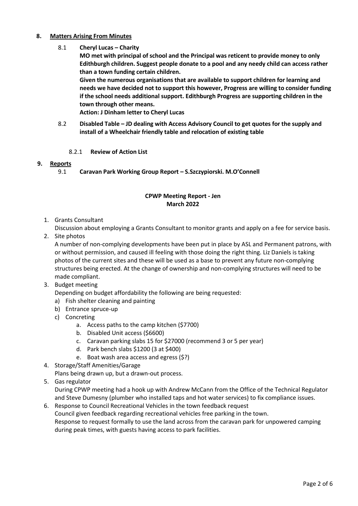### **8. Matters Arising From Minutes**

- 8.1 **Cheryl Lucas – Charity**
	- **MO met with principal of school and the Principal was reticent to provide money to only Edithburgh children. Suggest people donate to a pool and any needy child can access rather than a town funding certain children. Given the numerous organisations that are available to support children for learning and needs we have decided not to support this however, Progress are willing to consider funding if the school needs additional support. Edithburgh Progress are supporting children in the town through other means.**

**Action: J Dinham letter to Cheryl Lucas**

- 8.2 **Disabled Table – JD dealing with Access Advisory Council to get quotes for the supply and install of a Wheelchair friendly table and relocation of existing table**
	- 8.2.1 **Review of Action List**

#### **9. Reports**

9.1 **Caravan Park Working Group Report – S.Szczypiorski. M.O'Connell**

### **CPWP Meeting Report - Jen March 2022**

1. Grants Consultant

Discussion about employing a Grants Consultant to monitor grants and apply on a fee for service basis.

2. Site photos

A number of non-complying developments have been put in place by ASL and Permanent patrons, with or without permission, and caused ill feeling with those doing the right thing. Liz Daniels is taking photos of the current sites and these will be used as a base to prevent any future non-complying structures being erected. At the change of ownership and non-complying structures will need to be made compliant.

- 3. Budget meeting
	- Depending on budget affordability the following are being requested:
	- a) Fish shelter cleaning and painting
	- b) Entrance spruce-up
	- c) Concreting
		- a. Access paths to the camp kitchen (\$7700)
		- b. Disabled Unit access (\$6600)
		- c. Caravan parking slabs 15 for \$27000 (recommend 3 or 5 per year)
		- d. Park bench slabs \$1200 (3 at \$400)
		- e. Boat wash area access and egress (\$?)
- 4. Storage/Staff Amenities/Garage

Plans being drawn up, but a drawn-out process.

5. Gas regulator

During CPWP meeting had a hook up with Andrew McCann from the Office of the Technical Regulator and Steve Dumesny (plumber who installed taps and hot water services) to fix compliance issues.

6. Response to Council Recreational Vehicles in the town feedback request Council given feedback regarding recreational vehicles free parking in the town. Response to request formally to use the land across from the caravan park for unpowered camping during peak times, with guests having access to park facilities.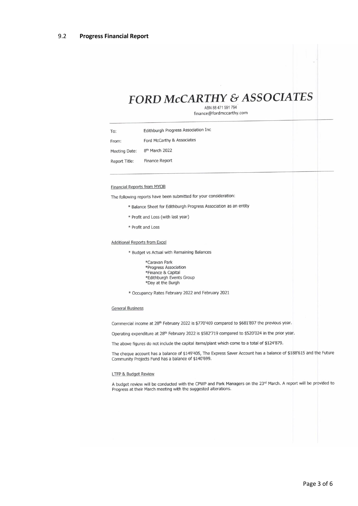# **FORD McCARTHY & ASSOCIATES**

ABN 88 471 591 794 finance@fordmccarthy.com

Edithburgh Progress Association Inc To: Ford McCarthy & Associates From: 8<sup>th</sup> March 2022 Meeting Date:

Report Title: **Finance Report** 

**Financial Reports from MYOB** 

The following reports have been submitted for your consideration:

- \* Balance Sheet for Edithburgh Progress Association as an entity
- \* Profit and Loss (with last year)
- \* Profit and Loss

**Additional Reports from Excel** 

\* Budget vs Actual with Remaining Balances

\*Caravan Park \*Progress Association \*Finance & Capital \*Edithburgh Events Group \*Day at the Burgh

\* Occupancy Rates February 2022 and February 2021

#### **General Business**

Commercial income at 28<sup>th</sup> February 2022 is \$770'469 compared to \$681'897 the previous year.

Operating expenditure at 28<sup>th</sup> February 2022 is \$582'719 compared to \$520'024 in the prior year.

The above figures do not include the capital items/plant which come to a total of \$124'879.

The cheque account has a balance of \$149'405, The Express Saver Account has a balance of \$188'615 and the Future Community Projects Fund has a balance of \$140'699.

#### LTFP & Budget Review

A budget review will be conducted with the CPWP and Park Managers on the 23rd March. A report will be provided to Progress at their March meeting with the suggested alterations.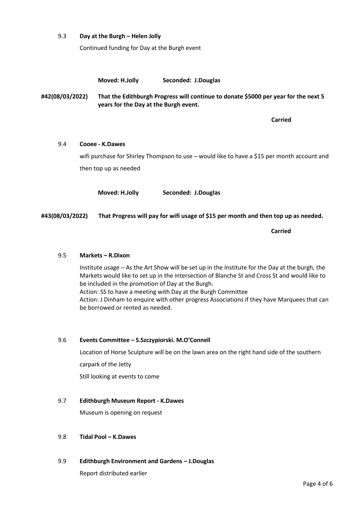#### 9.3 **Day at the Burgh – Helen Jolly**

Continued funding for Day at the Burgh event

**Moved: H.Jolly Seconded: J.Douglas**

**#42(08/03/2022) That the Edithburgh Progress will continue to donate \$5000 per year for the next 5 years for the Day at the Burgh event.**

**Carried**

## 9.4 **Cooee - K.Dawes**

wifi purchase for Shirley Thompson to use – would like to have a \$15 per month account and then top up as needed

**Moved: H.Jolly Seconded: J.Douglas**

**#43(08/03/2022) That Progress will pay for wifi usage of \$15 per month and then top up as needed.**

**Carried**

#### 9.5 **Markets – R.Dixon**

Institute usage – As the Art Show will be set up in the Institute for the Day at the burgh, the Markets would like to set up in the intersection of Blanche St and Cross St and would like to be included in the promotion of Day at the Burgh. Action: SS to have a meeting with Day at the Burgh Committee Action: J Dinham to enquire with other progress Associations if they have Marquees that can be borrowed or rented as needed.

#### 9.6 **Events Committee – S.Szczypiorski. M.O'Connell**

Location of Horse Sculpture will be on the lawn area on the right hand side of the southern carpark of the Jetty Still looking at events to come

#### 9.7 **Edithburgh Museum Report - K.Dawes**

Museum is opening on request

#### 9.8 **Tidal Pool – K.Dawes**

9.9 **Edithburgh Environment and Gardens – J.Douglas**

Report distributed earlier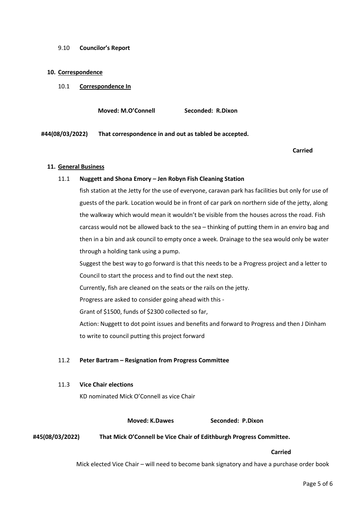#### 9.10 **Councilor's Report**

#### **10. Correspondence**

10.1 **Correspondence In**

**Moved: M.O'Connell Seconded: R.Dixon**

**#44(08/03/2022) That correspondence in and out as tabled be accepted.**

#### **Carried**

#### **11. General Business**

#### 11.1 **Nuggett and Shona Emory – Jen Robyn Fish Cleaning Station**

fish station at the Jetty for the use of everyone, caravan park has facilities but only for use of guests of the park. Location would be in front of car park on northern side of the jetty, along the walkway which would mean it wouldn't be visible from the houses across the road. Fish carcass would not be allowed back to the sea – thinking of putting them in an enviro bag and then in a bin and ask council to empty once a week. Drainage to the sea would only be water through a holding tank using a pump.

Suggest the best way to go forward is that this needs to be a Progress project and a letter to Council to start the process and to find out the next step.

Currently, fish are cleaned on the seats or the rails on the jetty.

Progress are asked to consider going ahead with this -

Grant of \$1500, funds of \$2300 collected so far,

Action: Nuggett to dot point issues and benefits and forward to Progress and then J Dinham to write to council putting this project forward

#### 11.2 **Peter Bartram – Resignation from Progress Committee**

#### 11.3 **Vice Chair elections**

KD nominated Mick O'Connell as vice Chair

**Moved: K.Dawes Seconded: P.Dixon** 

**#45(08/03/2022) That Mick O'Connell be Vice Chair of Edithburgh Progress Committee.**

#### **Carried**

Mick elected Vice Chair – will need to become bank signatory and have a purchase order book